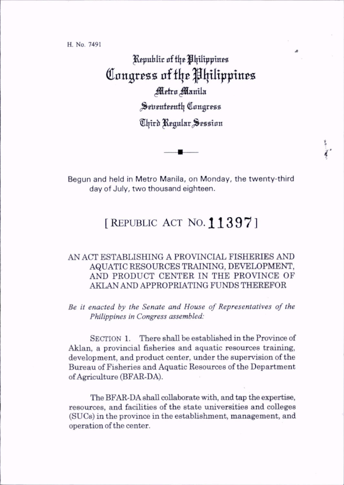H. No. 7491

Republic of the Philippines Congress of the Philippines Metro Manila Seventeenth Congress Third Regular Session

Begun and held in Metro Manila, on Monday, the twenty-third day of July, two thousand eighteen.

f

## [REPUBLIC ACT NO. 11397]

## AN ACT ESTABLISHING A PROVINCIAL FISHERIES AND AQUATIC RESOURCES TRAINING, DEVELOPMENT, AND PRODUCT CENTER IN THE PROVINCE OF AKLAN AND APPROPRIATING FUNDS THEREFOR

Be it enacted by the Senate and House of Representatives of the Philippines in Congress assembled:

SECTION 1. There shall be established in the Province of Akian, a provincial fisheries and aquatic resources training, development, and product center, under the supervision of the Bureau of Fisheries and Aquatic Resources of the Department of Agriculture (BFAR-DA).

The BFAR-DA shall collaborate with, and tap the expertise, resources, and facilities of the state universities and colleges (SUCs) in the province in the establishment, management, and operation of the center.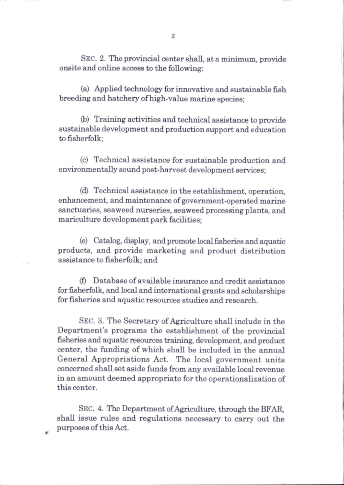Sec. 2. The provincial center shall, at a minimum, provide onsite and online access to the following;

(a) Applied technology for innovative and sustainable fish breeding and hatchery of high-value marine species;

(b) Training activities and technical assistance to provide sustainable development and production support and education to fisherfolk;

(c) Technical assistance for sustainable production and environmentally sound post-harvest development services;

(d) Technical assistance in the establishment, operation, enhancement, and maintenance of government-operated marine sanctuaries, seaweed nurseries, seaweed processing plants, and mariculture development park facilities:

(e) Catabg, display, and promote local fisheries and aquatic products, and provide marketing and product distribution assistance to fisherfolk; and

(f) Database of available insurance and credit assistance for fisherfolk, and local and international grants and scholarships for fisheries and aquatic resources studies and research.

Sec. 3. The Secretary of Agriculture shall include in the Department's programs the establishment of the provincial fisheries and aquatic resources training, development, and product center, the funding of which shall be included in the annual General Appropriations Act. The local government units concerned shall set aside funds firom any available local revenue in an amount deemed appropriate for the operationalization of this center.

Sec. 4. The Department of Agriculture, through the BFAR, shall issue rules and regulations necessary to carry out the purposes of this Act.